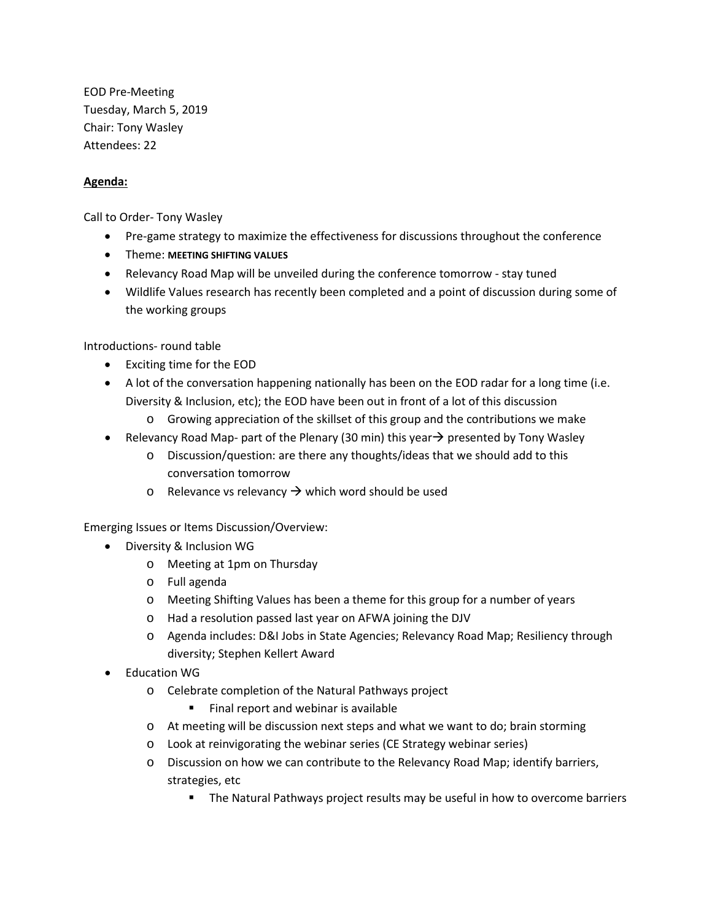EOD Pre-Meeting Tuesday, March 5, 2019 Chair: Tony Wasley Attendees: 22

## **Agenda:**

Call to Order- Tony Wasley

- Pre-game strategy to maximize the effectiveness for discussions throughout the conference
- Theme: **MEETING SHIFTING VALUES**
- Relevancy Road Map will be unveiled during the conference tomorrow stay tuned
- Wildlife Values research has recently been completed and a point of discussion during some of the working groups

Introductions- round table

- Exciting time for the EOD
- A lot of the conversation happening nationally has been on the EOD radar for a long time (i.e. Diversity & Inclusion, etc); the EOD have been out in front of a lot of this discussion
	- $\circ$  Growing appreciation of the skillset of this group and the contributions we make
- Relevancy Road Map- part of the Plenary (30 min) this year  $\rightarrow$  presented by Tony Wasley
	- o Discussion/question: are there any thoughts/ideas that we should add to this conversation tomorrow
	- o Relevance vs relevancy  $\rightarrow$  which word should be used

Emerging Issues or Items Discussion/Overview:

- Diversity & Inclusion WG
	- o Meeting at 1pm on Thursday
	- o Full agenda
	- o Meeting Shifting Values has been a theme for this group for a number of years
	- o Had a resolution passed last year on AFWA joining the DJV
	- o Agenda includes: D&I Jobs in State Agencies; Relevancy Road Map; Resiliency through diversity; Stephen Kellert Award
- Education WG
	- o Celebrate completion of the Natural Pathways project
		- Final report and webinar is available
	- o At meeting will be discussion next steps and what we want to do; brain storming
	- o Look at reinvigorating the webinar series (CE Strategy webinar series)
	- o Discussion on how we can contribute to the Relevancy Road Map; identify barriers, strategies, etc
		- The Natural Pathways project results may be useful in how to overcome barriers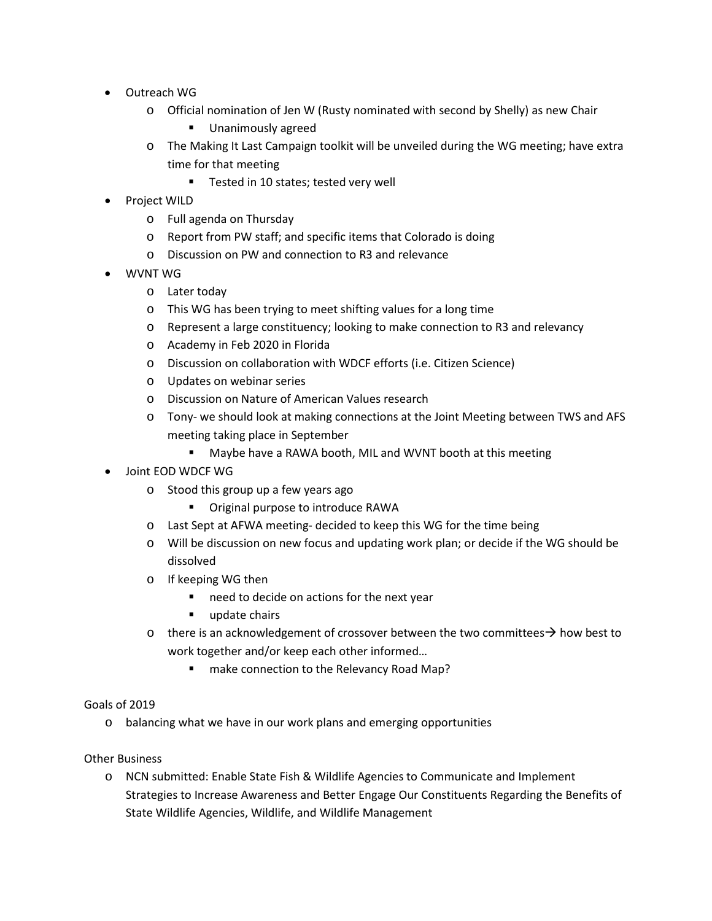- Outreach WG
	- o Official nomination of Jen W (Rusty nominated with second by Shelly) as new Chair
		- **Unanimously agreed**
	- o The Making It Last Campaign toolkit will be unveiled during the WG meeting; have extra time for that meeting
		- **Tested in 10 states; tested very well**
- Project WILD
	- o Full agenda on Thursday
	- o Report from PW staff; and specific items that Colorado is doing
	- o Discussion on PW and connection to R3 and relevance
- WVNT WG
	- o Later today
	- o This WG has been trying to meet shifting values for a long time
	- o Represent a large constituency; looking to make connection to R3 and relevancy
	- o Academy in Feb 2020 in Florida
	- o Discussion on collaboration with WDCF efforts (i.e. Citizen Science)
	- o Updates on webinar series
	- o Discussion on Nature of American Values research
	- o Tony- we should look at making connections at the Joint Meeting between TWS and AFS meeting taking place in September
		- Maybe have a RAWA booth, MIL and WVNT booth at this meeting
- Joint EOD WDCF WG
	- o Stood this group up a few years ago
		- **•** Original purpose to introduce RAWA
	- o Last Sept at AFWA meeting- decided to keep this WG for the time being
	- o Will be discussion on new focus and updating work plan; or decide if the WG should be dissolved
	- o If keeping WG then
		- need to decide on actions for the next year
		- update chairs
	- o there is an acknowledgement of crossover between the two committees  $\rightarrow$  how best to work together and/or keep each other informed…
		- make connection to the Relevancy Road Map?

## Goals of 2019

o balancing what we have in our work plans and emerging opportunities

## Other Business

o NCN submitted: Enable State Fish & Wildlife Agencies to Communicate and Implement Strategies to Increase Awareness and Better Engage Our Constituents Regarding the Benefits of State Wildlife Agencies, Wildlife, and Wildlife Management